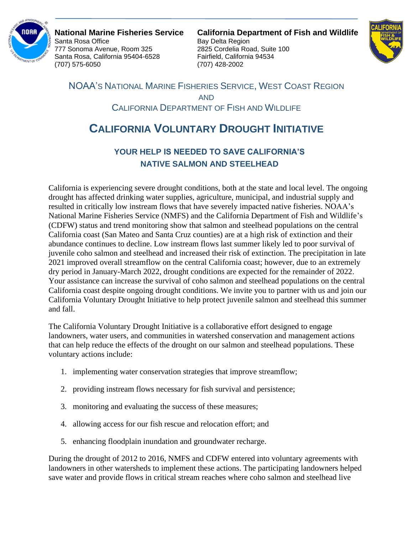

Santa Rosa Office **Bay Delta Region** 777 Sonoma Avenue, Room 325 2825 Cordelia Road, Suite 100 Santa Rosa, California 95404-6528 Fairfield, California 94534 (707) 575-6050 (707) 428-2002

**National Marine Fisheries Service California Department of Fish and Wildlife**



NOAA'S NATIONAL MARINE FISHERIES SERVICE, WEST COAST REGION AND CALIFORNIA DEPARTMENT OF FISH AND WILDLIFE

## **CALIFORNIA VOLUNTARY DROUGHT INITIATIVE**

## **YOUR HELP IS NEEDED TO SAVE CALIFORNIA'S NATIVE SALMON AND STEELHEAD**

California is experiencing severe drought conditions, both at the state and local level. The ongoing drought has affected drinking water supplies, agriculture, municipal, and industrial supply and resulted in critically low instream flows that have severely impacted native fisheries. NOAA's National Marine Fisheries Service (NMFS) and the California Department of Fish and Wildlife's (CDFW) status and trend monitoring show that salmon and steelhead populations on the central California coast (San Mateo and Santa Cruz counties) are at a high risk of extinction and their abundance continues to decline. Low instream flows last summer likely led to poor survival of juvenile coho salmon and steelhead and increased their risk of extinction. The precipitation in late 2021 improved overall streamflow on the central California coast; however, due to an extremely dry period in January-March 2022, drought conditions are expected for the remainder of 2022. Your assistance can increase the survival of coho salmon and steelhead populations on the central California coast despite ongoing drought conditions. We invite you to partner with us and join our California Voluntary Drought Initiative to help protect juvenile salmon and steelhead this summer and fall.

The California Voluntary Drought Initiative is a collaborative effort designed to engage landowners, water users, and communities in watershed conservation and management actions that can help reduce the effects of the drought on our salmon and steelhead populations. These voluntary actions include:

- 1. implementing water conservation strategies that improve streamflow;
- 2. providing instream flows necessary for fish survival and persistence;
- 3. monitoring and evaluating the success of these measures;
- 4. allowing access for our fish rescue and relocation effort; and
- 5. enhancing floodplain inundation and groundwater recharge.

During the drought of 2012 to 2016, NMFS and CDFW entered into voluntary agreements with landowners in other watersheds to implement these actions. The participating landowners helped save water and provide flows in critical stream reaches where coho salmon and steelhead live